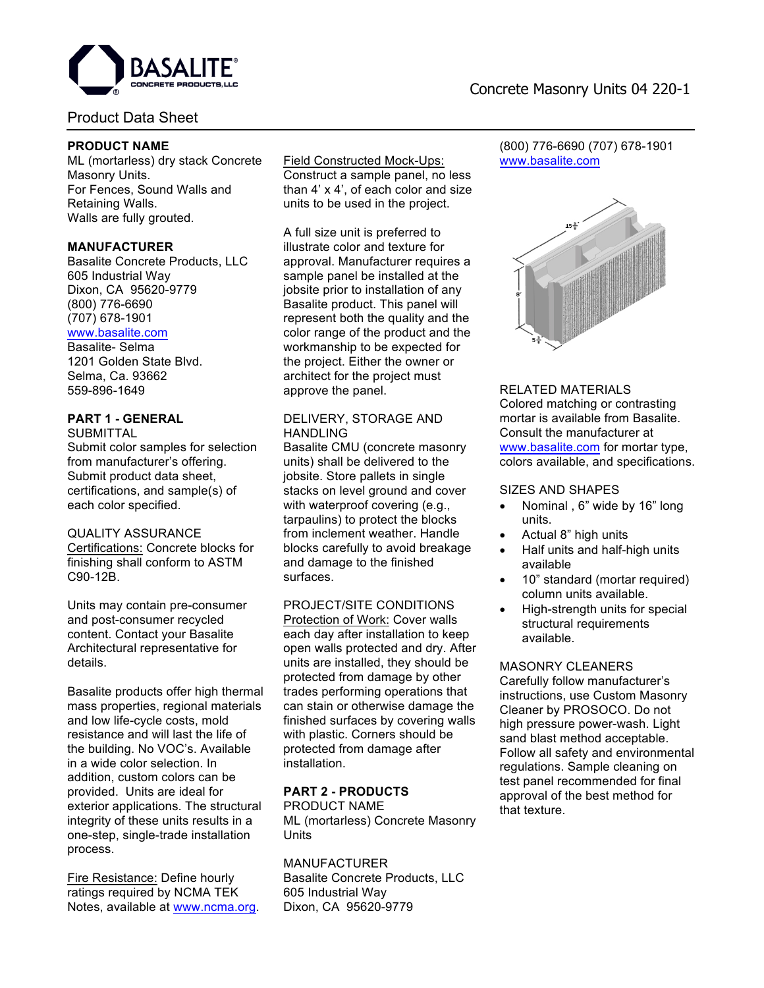

# Product Data Sheet

# **PRODUCT NAME**

ML (mortarless) dry stack Concrete Masonry Units. For Fences, Sound Walls and Retaining Walls. Walls are fully grouted.

## **MANUFACTURER**

Basalite Concrete Products, LLC 605 Industrial Way Dixon, CA 95620-9779 (800) 776-6690 (707) 678-1901 www.basalite.com

Basalite- Selma 1201 Golden State Blvd. Selma, Ca. 93662 559-896-1649

# **PART 1 - GENERAL**

**SUBMITTAL** Submit color samples for selection from manufacturer's offering. Submit product data sheet, certifications, and sample(s) of each color specified.

#### QUALITY ASSURANCE

Certifications: Concrete blocks for finishing shall conform to ASTM C90-12B.

Units may contain pre-consumer and post-consumer recycled content. Contact your Basalite Architectural representative for details.

Basalite products offer high thermal mass properties, regional materials and low life-cycle costs, mold resistance and will last the life of the building. No VOC's. Available in a wide color selection. In addition, custom colors can be provided. Units are ideal for exterior applications. The structural integrity of these units results in a one-step, single-trade installation process.

Fire Resistance: Define hourly ratings required by NCMA TEK Notes, available at www.ncma.org.

# Field Constructed Mock-Ups:

Construct a sample panel, no less than 4' x 4', of each color and size units to be used in the project.

A full size unit is preferred to illustrate color and texture for approval. Manufacturer requires a sample panel be installed at the jobsite prior to installation of any Basalite product. This panel will represent both the quality and the color range of the product and the workmanship to be expected for the project. Either the owner or architect for the project must approve the panel.

## DELIVERY, STORAGE AND **HANDLING**

Basalite CMU (concrete masonry units) shall be delivered to the jobsite. Store pallets in single stacks on level ground and cover with waterproof covering (e.g., tarpaulins) to protect the blocks from inclement weather. Handle blocks carefully to avoid breakage and damage to the finished surfaces.

#### PROJECT/SITE CONDITIONS

Protection of Work: Cover walls each day after installation to keep open walls protected and dry. After units are installed, they should be protected from damage by other trades performing operations that can stain or otherwise damage the finished surfaces by covering walls with plastic. Corners should be protected from damage after installation.

# **PART 2 - PRODUCTS**

PRODUCT NAME ML (mortarless) Concrete Masonry **Units** 

MANUFACTURER Basalite Concrete Products, LLC 605 Industrial Way Dixon, CA 95620-9779

# Concrete Masonry Units 04 220-1

(800) 776-6690 (707) 678-1901 www.basalite.com



## RELATED MATERIALS

Colored matching or contrasting mortar is available from Basalite. Consult the manufacturer at www.basalite.com for mortar type, colors available, and specifications.

### SIZES AND SHAPES

- Nominal , 6" wide by 16" long units.
- Actual 8" high units
- Half units and half-high units available
- 10" standard (mortar required) column units available.
- High-strength units for special structural requirements available.

MASONRY CLEANERS Carefully follow manufacturer's instructions, use Custom Masonry Cleaner by PROSOCO. Do not high pressure power-wash. Light sand blast method acceptable. Follow all safety and environmental

regulations. Sample cleaning on test panel recommended for final approval of the best method for that texture.